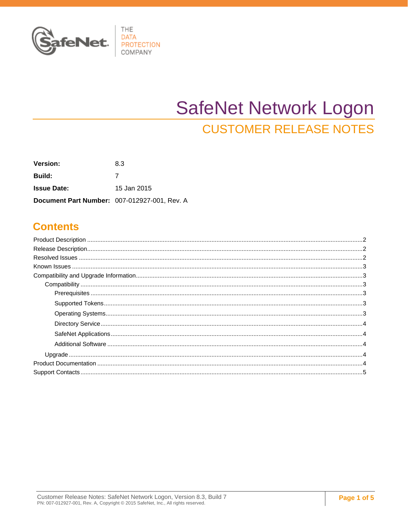

# **SafeNet Network Logon CUSTOMER RELEASE NOTES**

| <b>Version:</b>                              | 8.3         |
|----------------------------------------------|-------------|
| <b>Build:</b>                                |             |
| <b>Issue Date:</b>                           | 15 Jan 2015 |
| Document Part Number: 007-012927-001, Rev. A |             |

### **Contents**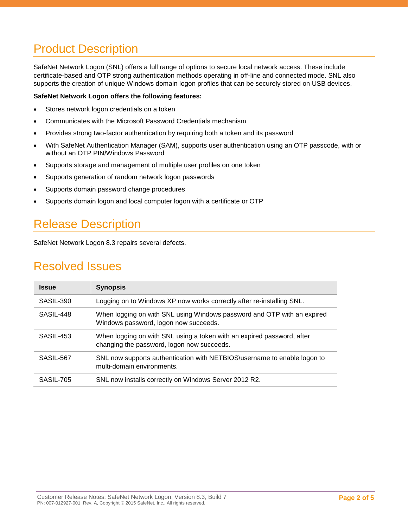# <span id="page-1-0"></span>Product Description

SafeNet Network Logon (SNL) offers a full range of options to secure local network access. These include certificate-based and OTP strong authentication methods operating in off-line and connected mode. SNL also supports the creation of unique Windows domain logon profiles that can be securely stored on USB devices.

#### **SafeNet Network Logon offers the following features:**

- Stores network logon credentials on a token
- Communicates with the Microsoft Password Credentials mechanism
- Provides strong two-factor authentication by requiring both a token and its password
- With SafeNet Authentication Manager (SAM), supports user authentication using an OTP passcode, with or without an OTP PIN/Windows Password
- Supports storage and management of multiple user profiles on one token
- Supports generation of random network logon passwords
- Supports domain password change procedures
- Supports domain logon and local computer logon with a certificate or OTP

# <span id="page-1-1"></span>Release Description

SafeNet Network Logon 8.3 repairs several defects.

### <span id="page-1-2"></span>Resolved Issues

| <b>Issue</b> | <b>Synopsis</b>                                                                                                      |  |
|--------------|----------------------------------------------------------------------------------------------------------------------|--|
| SASIL-390    | Logging on to Windows XP now works correctly after re-installing SNL.                                                |  |
| SASIL-448    | When logging on with SNL using Windows password and OTP with an expired<br>Windows password, logon now succeeds.     |  |
| SASIL-453    | When logging on with SNL using a token with an expired password, after<br>changing the password, logon now succeeds. |  |
| SASIL-567    | SNL now supports authentication with NETBIOS\username to enable logon to<br>multi-domain environments.               |  |
| SASIL-705    | SNL now installs correctly on Windows Server 2012 R2.                                                                |  |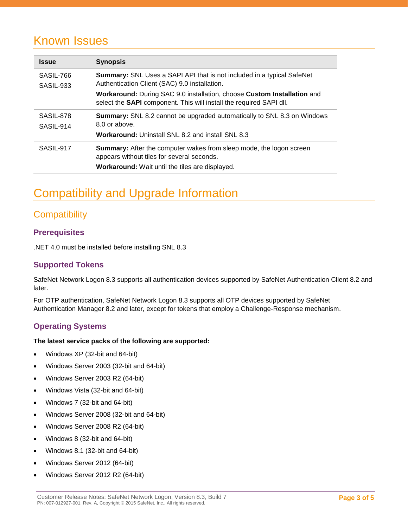### <span id="page-2-0"></span>Known Issues

| <b>Issue</b>           | <b>Synopsis</b>                                                                                                                                                                    |  |  |
|------------------------|------------------------------------------------------------------------------------------------------------------------------------------------------------------------------------|--|--|
| SASIL-766<br>SASIL-933 | <b>Summary:</b> SNL Uses a SAPI API that is not included in a typical SafeNet<br>Authentication Client (SAC) 9.0 installation.                                                     |  |  |
|                        | Workaround: During SAC 9.0 installation, choose Custom Installation and<br>select the SAPI component. This will install the required SAPI dll.                                     |  |  |
| SASIL-878<br>SASIL-914 | <b>Summary:</b> SNL 8.2 cannot be upgraded automatically to SNL 8.3 on Windows<br>8.0 or above.                                                                                    |  |  |
|                        | <b>Workaround: Uninstall SNL 8.2 and install SNL 8.3</b>                                                                                                                           |  |  |
| SASIL-917              | <b>Summary:</b> After the computer wakes from sleep mode, the logon screen<br>appears without tiles for several seconds.<br><b>Workaround:</b> Wait until the tiles are displayed. |  |  |

# <span id="page-2-1"></span>Compatibility and Upgrade Information

### <span id="page-2-2"></span>**Compatibility**

### <span id="page-2-3"></span>**Prerequisites**

.NET 4.0 must be installed before installing SNL 8.3

#### <span id="page-2-4"></span>**Supported Tokens**

SafeNet Network Logon 8.3 supports all authentication devices supported by SafeNet Authentication Client 8.2 and later.

For OTP authentication, SafeNet Network Logon 8.3 supports all OTP devices supported by SafeNet Authentication Manager 8.2 and later, except for tokens that employ a Challenge-Response mechanism.

### <span id="page-2-5"></span>**Operating Systems**

#### **The latest service packs of the following are supported:**

- Windows XP (32-bit and 64-bit)
- Windows Server 2003 (32-bit and 64-bit)
- Windows Server 2003 R2 (64-bit)
- Windows Vista (32-bit and 64-bit)
- Windows 7 (32-bit and 64-bit)
- Windows Server 2008 (32-bit and 64-bit)
- Windows Server 2008 R2 (64-bit)
- Windows 8 (32-bit and 64-bit)
- Windows 8.1 (32-bit and 64-bit)
- Windows Server 2012 (64-bit)
- Windows Server 2012 R2 (64-bit)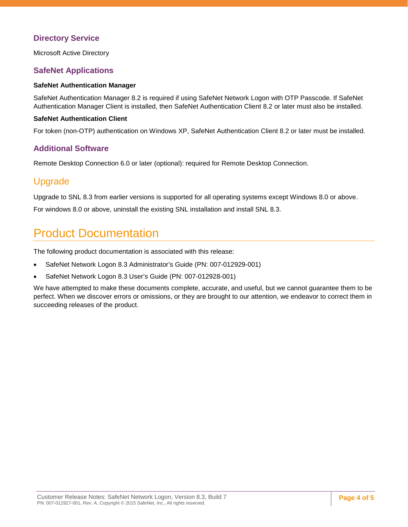#### <span id="page-3-0"></span>**Directory Service**

Microsoft Active Directory

#### <span id="page-3-1"></span>**SafeNet Applications**

#### **SafeNet Authentication Manager**

SafeNet Authentication Manager 8.2 is required if using SafeNet Network Logon with OTP Passcode. If SafeNet Authentication Manager Client is installed, then SafeNet Authentication Client 8.2 or later must also be installed.

#### **SafeNet Authentication Client**

For token (non-OTP) authentication on Windows XP, SafeNet Authentication Client 8.2 or later must be installed.

#### <span id="page-3-2"></span>**Additional Software**

Remote Desktop Connection 6.0 or later (optional): required for Remote Desktop Connection.

### <span id="page-3-3"></span>Upgrade

Upgrade to SNL 8.3 from earlier versions is supported for all operating systems except Windows 8.0 or above.

For windows 8.0 or above, uninstall the existing SNL installation and install SNL 8.3.

### <span id="page-3-4"></span>Product Documentation

The following product documentation is associated with this release:

- SafeNet Network Logon 8.3 Administrator's Guide (PN: 007-012929-001)
- SafeNet Network Logon 8.3 User's Guide (PN: 007-012928-001)

We have attempted to make these documents complete, accurate, and useful, but we cannot guarantee them to be perfect. When we discover errors or omissions, or they are brought to our attention, we endeavor to correct them in succeeding releases of the product.